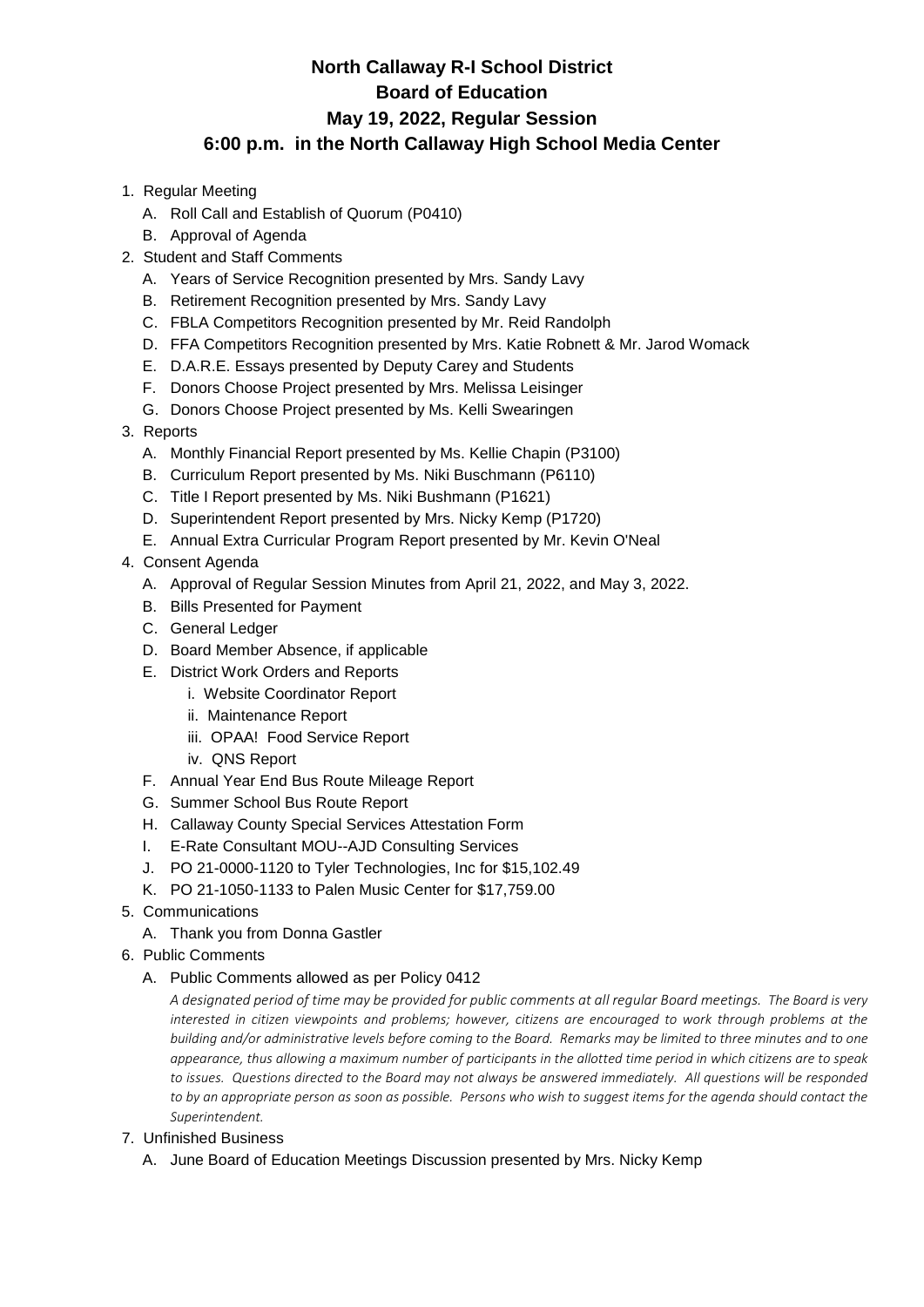## **North Callaway R-I School District Board of Education May 19, 2022, Regular Session 6:00 p.m. in the North Callaway High School Media Center**

- 1. Regular Meeting
	- A. Roll Call and Establish of Quorum (P0410)
	- B. Approval of Agenda
- 2. Student and Staff Comments
	- A. Years of Service Recognition presented by Mrs. Sandy Lavy
	- B. Retirement Recognition presented by Mrs. Sandy Lavy
	- C. FBLA Competitors Recognition presented by Mr. Reid Randolph
	- D. FFA Competitors Recognition presented by Mrs. Katie Robnett & Mr. Jarod Womack
	- E. D.A.R.E. Essays presented by Deputy Carey and Students
	- F. Donors Choose Project presented by Mrs. Melissa Leisinger
	- G. Donors Choose Project presented by Ms. Kelli Swearingen
- 3. Reports
	- A. Monthly Financial Report presented by Ms. Kellie Chapin (P3100)
	- B. Curriculum Report presented by Ms. Niki Buschmann (P6110)
	- C. Title I Report presented by Ms. Niki Bushmann (P1621)
	- D. Superintendent Report presented by Mrs. Nicky Kemp (P1720)
	- E. Annual Extra Curricular Program Report presented by Mr. Kevin O'Neal
- 4. Consent Agenda
	- A. Approval of Regular Session Minutes from April 21, 2022, and May 3, 2022.
	- B. Bills Presented for Payment
	- C. General Ledger
	- D. Board Member Absence, if applicable
	- E. District Work Orders and Reports
		- i. Website Coordinator Report
		- ii. Maintenance Report
		- iii. OPAA! Food Service Report
		- iv. QNS Report
	- F. Annual Year End Bus Route Mileage Report
	- G. Summer School Bus Route Report
	- H. Callaway County Special Services Attestation Form
	- I. E-Rate Consultant MOU--AJD Consulting Services
	- J. PO 21-0000-1120 to Tyler Technologies, Inc for \$15,102.49
	- K. PO 21-1050-1133 to Palen Music Center for \$17,759.00
- 5. Communications
	- A. Thank you from Donna Gastler
- 6. Public Comments
	- A. Public Comments allowed as per Policy 0412

*A designated period of time may be provided for public comments at all regular Board meetings. The Board is very interested in citizen viewpoints and problems; however, citizens are encouraged to work through problems at the building and/or administrative levels before coming to the Board. Remarks may be limited to three minutes and to one appearance, thus allowing a maximum number of participants in the allotted time period in which citizens are to speak*  to issues. Questions directed to the Board may not always be answered immediately. All questions will be responded to by an appropriate person as soon as possible. Persons who wish to suggest items for the agenda should contact the *Superintendent.*

- 7. Unfinished Business
	- A. June Board of Education Meetings Discussion presented by Mrs. Nicky Kemp